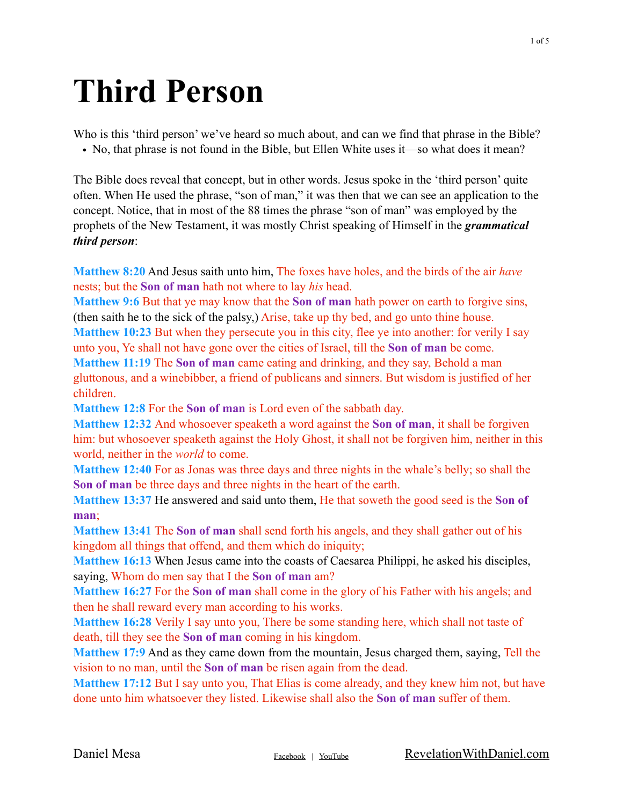## **Third Person**

Who is this 'third person' we've heard so much about, and can we find that phrase in the Bible? • No, that phrase is not found in the Bible, but Ellen White uses it—so what does it mean?

The Bible does reveal that concept, but in other words. Jesus spoke in the 'third person' quite often. When He used the phrase, "son of man," it was then that we can see an application to the concept. Notice, that in most of the 88 times the phrase "son of man" was employed by the prophets of the New Testament, it was mostly Christ speaking of Himself in the *grammatical third person*:

**Matthew 8:20** And Jesus saith unto him, The foxes have holes, and the birds of the air *have* nests; but the **Son of man** hath not where to lay *his* head.

**Matthew 9:6** But that ye may know that the **Son of man** hath power on earth to forgive sins, (then saith he to the sick of the palsy,) Arise, take up thy bed, and go unto thine house.

**Matthew 10:23** But when they persecute you in this city, flee ye into another: for verily I say unto you, Ye shall not have gone over the cities of Israel, till the **Son of man** be come.

**Matthew 11:19** The **Son of man** came eating and drinking, and they say, Behold a man gluttonous, and a winebibber, a friend of publicans and sinners. But wisdom is justified of her children.

**Matthew 12:8** For the **Son of man** is Lord even of the sabbath day.

**Matthew 12:32** And whosoever speaketh a word against the **Son of man**, it shall be forgiven him: but whosoever speaketh against the Holy Ghost, it shall not be forgiven him, neither in this world, neither in the *world* to come.

**Matthew 12:40** For as Jonas was three days and three nights in the whale's belly; so shall the **Son of man** be three days and three nights in the heart of the earth.

**Matthew 13:37** He answered and said unto them, He that soweth the good seed is the **Son of man**;

**Matthew 13:41** The **Son of man** shall send forth his angels, and they shall gather out of his kingdom all things that offend, and them which do iniquity;

**Matthew 16:13** When Jesus came into the coasts of Caesarea Philippi, he asked his disciples, saying, Whom do men say that I the **Son of man** am?

**Matthew 16:27** For the **Son of man** shall come in the glory of his Father with his angels; and then he shall reward every man according to his works.

**Matthew 16:28** Verily I say unto you, There be some standing here, which shall not taste of death, till they see the **Son of man** coming in his kingdom.

**Matthew 17:9** And as they came down from the mountain, Jesus charged them, saying, Tell the vision to no man, until the **Son of man** be risen again from the dead.

**Matthew 17:12** But I say unto you, That Elias is come already, and they knew him not, but have done unto him whatsoever they listed. Likewise shall also the **Son of man** suffer of them.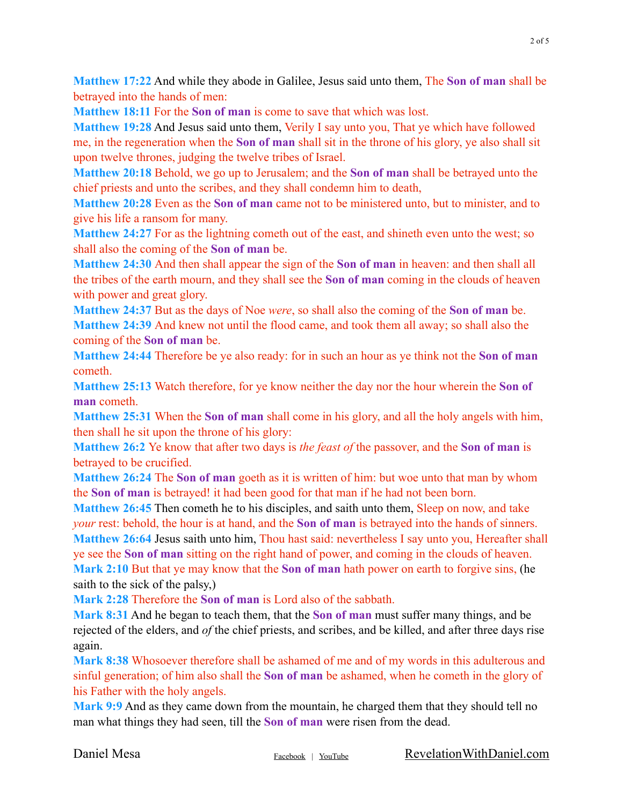**Matthew 17:22** And while they abode in Galilee, Jesus said unto them, The **Son of man** shall be betrayed into the hands of men:

**Matthew 18:11** For the **Son of man** is come to save that which was lost.

**Matthew 19:28** And Jesus said unto them, Verily I say unto you, That ye which have followed me, in the regeneration when the **Son of man** shall sit in the throne of his glory, ye also shall sit upon twelve thrones, judging the twelve tribes of Israel.

**Matthew 20:18** Behold, we go up to Jerusalem; and the **Son of man** shall be betrayed unto the chief priests and unto the scribes, and they shall condemn him to death,

**Matthew 20:28** Even as the **Son of man** came not to be ministered unto, but to minister, and to give his life a ransom for many.

**Matthew 24:27** For as the lightning cometh out of the east, and shineth even unto the west; so shall also the coming of the **Son of man** be.

**Matthew 24:30** And then shall appear the sign of the **Son of man** in heaven: and then shall all the tribes of the earth mourn, and they shall see the **Son of man** coming in the clouds of heaven with power and great glory.

**Matthew 24:37** But as the days of Noe *were*, so shall also the coming of the **Son of man** be. **Matthew 24:39** And knew not until the flood came, and took them all away; so shall also the coming of the **Son of man** be.

**Matthew 24:44** Therefore be ye also ready: for in such an hour as ye think not the **Son of man** cometh.

**Matthew 25:13** Watch therefore, for ye know neither the day nor the hour wherein the **Son of man** cometh.

**Matthew 25:31** When the **Son of man** shall come in his glory, and all the holy angels with him, then shall he sit upon the throne of his glory:

**Matthew 26:2** Ye know that after two days is *the feast of* the passover, and the **Son of man** is betrayed to be crucified.

**Matthew 26:24** The **Son of man** goeth as it is written of him: but woe unto that man by whom the **Son of man** is betrayed! it had been good for that man if he had not been born.

**Matthew 26:45** Then cometh he to his disciples, and saith unto them, Sleep on now, and take *your* rest: behold, the hour is at hand, and the **Son of man** is betrayed into the hands of sinners. **Matthew 26:64** Jesus saith unto him, Thou hast said: nevertheless I say unto you, Hereafter shall ye see the **Son of man** sitting on the right hand of power, and coming in the clouds of heaven. **Mark 2:10** But that ye may know that the **Son of man** hath power on earth to forgive sins, (he saith to the sick of the palsy,)

**Mark 2:28** Therefore the **Son of man** is Lord also of the sabbath.

**Mark 8:31** And he began to teach them, that the **Son of man** must suffer many things, and be rejected of the elders, and *of* the chief priests, and scribes, and be killed, and after three days rise again.

**Mark 8:38** Whosoever therefore shall be ashamed of me and of my words in this adulterous and sinful generation; of him also shall the **Son of man** be ashamed, when he cometh in the glory of his Father with the holy angels.

**Mark 9:9** And as they came down from the mountain, he charged them that they should tell no man what things they had seen, till the **Son of man** were risen from the dead.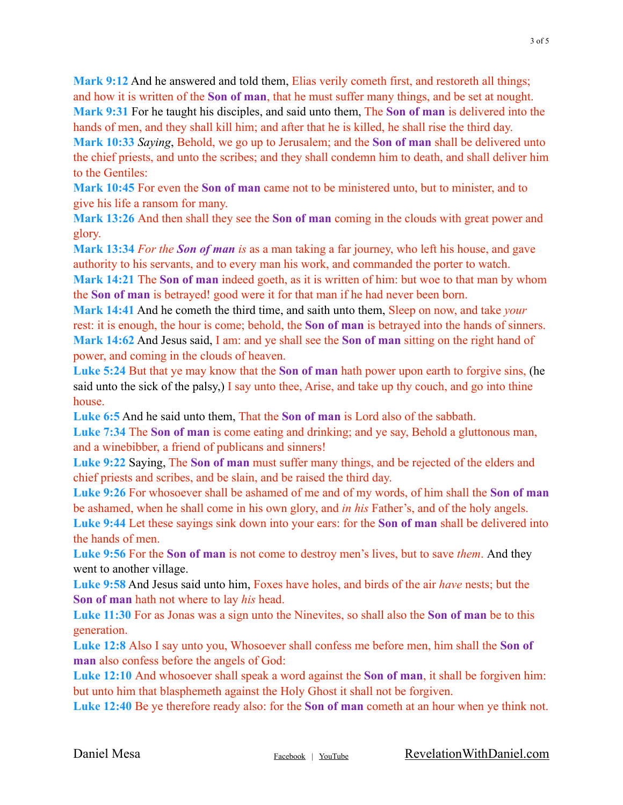**Mark 9:12** And he answered and told them, Elias verily cometh first, and restoreth all things; and how it is written of the **Son of man**, that he must suffer many things, and be set at nought. **Mark 9:31** For he taught his disciples, and said unto them, The **Son of man** is delivered into the hands of men, and they shall kill him; and after that he is killed, he shall rise the third day.

**Mark 10:33** *Saying*, Behold, we go up to Jerusalem; and the **Son of man** shall be delivered unto the chief priests, and unto the scribes; and they shall condemn him to death, and shall deliver him to the Gentiles:

**Mark 10:45** For even the **Son of man** came not to be ministered unto, but to minister, and to give his life a ransom for many.

**Mark 13:26** And then shall they see the **Son of man** coming in the clouds with great power and glory.

**Mark 13:34** *For the Son of man is* as a man taking a far journey, who left his house, and gave authority to his servants, and to every man his work, and commanded the porter to watch. **Mark 14:21** The **Son of man** indeed goeth, as it is written of him: but woe to that man by whom the **Son of man** is betrayed! good were it for that man if he had never been born.

**Mark 14:41** And he cometh the third time, and saith unto them, Sleep on now, and take *your* rest: it is enough, the hour is come; behold, the **Son of man** is betrayed into the hands of sinners. **Mark 14:62** And Jesus said, I am: and ye shall see the **Son of man** sitting on the right hand of power, and coming in the clouds of heaven.

**Luke 5:24** But that ye may know that the **Son of man** hath power upon earth to forgive sins, (he said unto the sick of the palsy,) I say unto thee, Arise, and take up thy couch, and go into thine house.

**Luke 6:5** And he said unto them, That the **Son of man** is Lord also of the sabbath.

**Luke 7:34** The **Son of man** is come eating and drinking; and ye say, Behold a gluttonous man, and a winebibber, a friend of publicans and sinners!

**Luke 9:22** Saying, The **Son of man** must suffer many things, and be rejected of the elders and chief priests and scribes, and be slain, and be raised the third day.

**Luke 9:26** For whosoever shall be ashamed of me and of my words, of him shall the **Son of man** be ashamed, when he shall come in his own glory, and *in his* Father's, and of the holy angels. **Luke 9:44** Let these sayings sink down into your ears: for the **Son of man** shall be delivered into the hands of men.

**Luke 9:56** For the **Son of man** is not come to destroy men's lives, but to save *them*. And they went to another village.

**Luke 9:58** And Jesus said unto him, Foxes have holes, and birds of the air *have* nests; but the **Son of man** hath not where to lay *his* head.

**Luke 11:30** For as Jonas was a sign unto the Ninevites, so shall also the **Son of man** be to this generation.

**Luke 12:8** Also I say unto you, Whosoever shall confess me before men, him shall the **Son of man** also confess before the angels of God:

**Luke 12:10** And whosoever shall speak a word against the **Son of man**, it shall be forgiven him: but unto him that blasphemeth against the Holy Ghost it shall not be forgiven.

**Luke 12:40** Be ye therefore ready also: for the **Son of man** cometh at an hour when ye think not.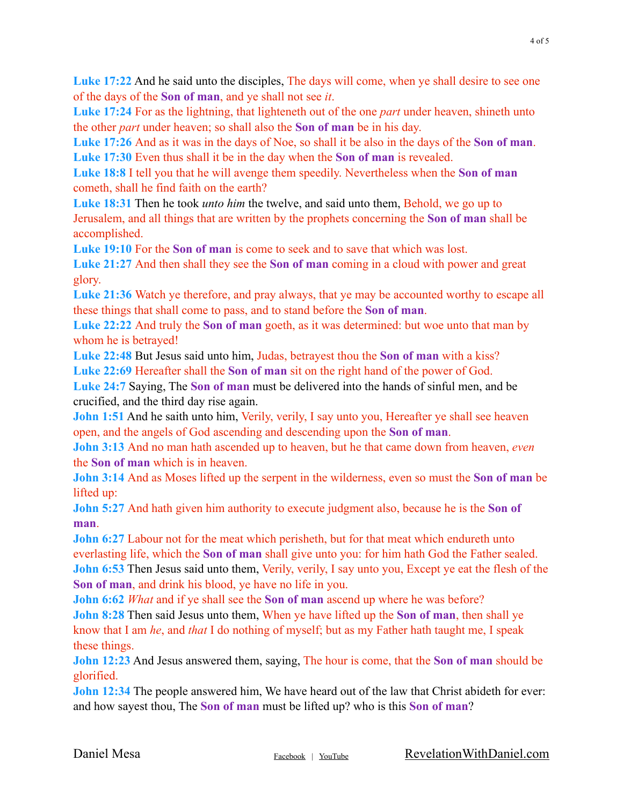**Luke 17:22** And he said unto the disciples, The days will come, when ye shall desire to see one of the days of the **Son of man**, and ye shall not see *it*.

**Luke 17:24** For as the lightning, that lighteneth out of the one *part* under heaven, shineth unto the other *part* under heaven; so shall also the **Son of man** be in his day.

**Luke 17:26** And as it was in the days of Noe, so shall it be also in the days of the **Son of man**. **Luke 17:30** Even thus shall it be in the day when the **Son of man** is revealed.

**Luke 18:8** I tell you that he will avenge them speedily. Nevertheless when the **Son of man** cometh, shall he find faith on the earth?

**Luke 18:31** Then he took *unto him* the twelve, and said unto them, Behold, we go up to Jerusalem, and all things that are written by the prophets concerning the **Son of man** shall be accomplished.

**Luke 19:10** For the **Son of man** is come to seek and to save that which was lost.

**Luke 21:27** And then shall they see the **Son of man** coming in a cloud with power and great glory.

**Luke 21:36** Watch ye therefore, and pray always, that ye may be accounted worthy to escape all these things that shall come to pass, and to stand before the **Son of man**.

**Luke 22:22** And truly the **Son of man** goeth, as it was determined: but woe unto that man by whom he is betrayed!

**Luke 22:48** But Jesus said unto him, Judas, betrayest thou the **Son of man** with a kiss? **Luke 22:69** Hereafter shall the **Son of man** sit on the right hand of the power of God.

**Luke 24:7** Saying, The **Son of man** must be delivered into the hands of sinful men, and be crucified, and the third day rise again.

**John 1:51** And he saith unto him, Verily, verily, I say unto you, Hereafter ye shall see heaven open, and the angels of God ascending and descending upon the **Son of man**.

**John 3:13** And no man hath ascended up to heaven, but he that came down from heaven, *even* the **Son of man** which is in heaven.

**John 3:14** And as Moses lifted up the serpent in the wilderness, even so must the **Son of man** be lifted up:

**John 5:27** And hath given him authority to execute judgment also, because he is the **Son of man**.

**John 6:27** Labour not for the meat which perisheth, but for that meat which endureth unto everlasting life, which the **Son of man** shall give unto you: for him hath God the Father sealed. **John 6:53** Then Jesus said unto them, Verily, verily, I say unto you, Except ye eat the flesh of the **Son of man**, and drink his blood, ye have no life in you.

**John 6:62** *What* and if ye shall see the **Son of man** ascend up where he was before? **John 8:28** Then said Jesus unto them, When ye have lifted up the **Son of man**, then shall ye know that I am *he*, and *that* I do nothing of myself; but as my Father hath taught me, I speak these things.

**John 12:23** And Jesus answered them, saying, The hour is come, that the **Son of man** should be glorified.

**John 12:34** The people answered him, We have heard out of the law that Christ abideth for ever: and how sayest thou, The **Son of man** must be lifted up? who is this **Son of man**?